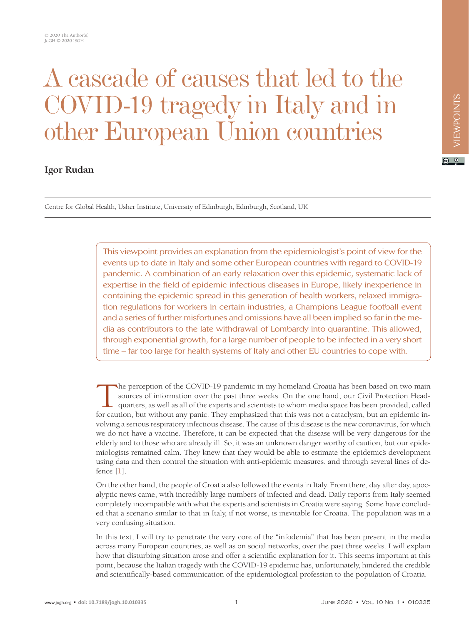## A cascade of causes that led to the COVID-19 tragedy in Italy and in other European Union countries

## **Igor Rudan**

Centre for Global Health, Usher Institute, University of Edinburgh, Edinburgh, Scotland, UK

This viewpoint provides an explanation from the epidemiologist's point of view for the events up to date in Italy and some other European countries with regard to COVID-19 pandemic. A combination of an early relaxation over this epidemic, systematic lack of expertise in the field of epidemic infectious diseases in Europe, likely inexperience in containing the epidemic spread in this generation of health workers, relaxed immigration regulations for workers in certain industries, a Champions League football event and a series of further misfortunes and omissions have all been implied so far in the media as contributors to the late withdrawal of Lombardy into quarantine. This allowed, through exponential growth, for a large number of people to be infected in a very short time – far too large for health systems of Italy and other EU countries to cope with.

The perception of the COVID-19 pandemic in my homeland Croatia has been based on two main sources of information over the past three weeks. On the one hand, our Civil Protection Head-<br>quarters, as well as all of the expert sources of information over the past three weeks. On the one hand, our Civil Protection Headquarters, as well as all of the experts and scientists to whom media space has been provided, called for caution, but without any panic. They emphasized that this was not a cataclysm, but an epidemic involving a serious respiratory infectious disease. The cause of this disease is the new coronavirus, for which we do not have a vaccine. Therefore, it can be expected that the disease will be very dangerous for the elderly and to those who are already ill. So, it was an unknown danger worthy of caution, but our epidemiologists remained calm. They knew that they would be able to estimate the epidemic's development using data and then control the situation with anti-epidemic measures, and through several lines of defence [\[1\]](#page-8-0).

On the other hand, the people of Croatia also followed the events in Italy. From there, day after day, apocalyptic news came, with incredibly large numbers of infected and dead. Daily reports from Italy seemed completely incompatible with what the experts and scientists in Croatia were saying. Some have concluded that a scenario similar to that in Italy, if not worse, is inevitable for Croatia. The population was in a very confusing situation.

In this text, I will try to penetrate the very core of the "infodemia" that has been present in the media across many European countries, as well as on social networks, over the past three weeks. I will explain how that disturbing situation arose and offer a scientific explanation for it. This seems important at this point, because the Italian tragedy with the COVID-19 epidemic has, unfortunately, hindered the credible and scientifically-based communication of the epidemiological profession to the population of Croatia.

 $\boxed{6}$  0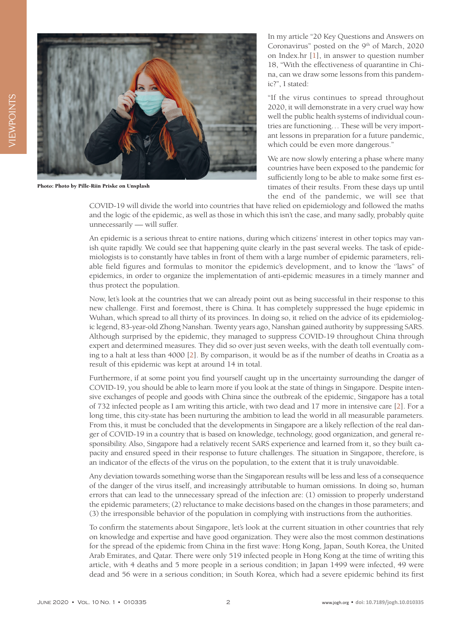

Photo: Photo by Pille-Riin Priske on [Unsplash](https://unsplash.com/photos/O5Fo4vUuIBM)

In my article "20 Key Questions and Answers on Coronavirus" posted on the 9<sup>th</sup> of March, 2020 on Index.hr [[1\]](#page-8-0), in answer to question number 18, "With the effectiveness of quarantine in China, can we draw some lessons from this pandemic?", I stated:

"If the virus continues to spread throughout 2020, it will demonstrate in a very cruel way how well the public health systems of individual countries are functioning… These will be very important lessons in preparation for a future pandemic, which could be even more dangerous."

We are now slowly entering a phase where many countries have been exposed to the pandemic for sufficiently long to be able to make some first estimates of their results. From these days up until the end of the pandemic, we will see that

COVID-19 will divide the world into countries that have relied on epidemiology and followed the maths and the logic of the epidemic, as well as those in which this isn't the case, and many sadly, probably quite unnecessarily — will suffer.

An epidemic is a serious threat to entire nations, during which citizens' interest in other topics may vanish quite rapidly. We could see that happening quite clearly in the past several weeks. The task of epidemiologists is to constantly have tables in front of them with a large number of epidemic parameters, reliable field figures and formulas to monitor the epidemic's development, and to know the ''laws" of epidemics, in order to organize the implementation of anti-epidemic measures in a timely manner and thus protect the population.

Now, let's look at the countries that we can already point out as being successful in their response to this new challenge. First and foremost, there is China. It has completely suppressed the huge epidemic in Wuhan, which spread to all thirty of its provinces. In doing so, it relied on the advice of its epidemiologic legend, 83-year-old Zhong Nanshan. Twenty years ago, Nanshan gained authority by suppressing SARS. Although surprised by the epidemic, they managed to suppress COVID-19 throughout China through expert and determined measures. They did so over just seven weeks, with the death toll eventually coming to a halt at less than 4000 [[2](#page-8-1)]. By comparison, it would be as if the number of deaths in Croatia as a result of this epidemic was kept at around 14 in total.

Furthermore, if at some point you find yourself caught up in the uncertainty surrounding the danger of COVID-19, you should be able to learn more if you look at the state of things in Singapore. Despite intensive exchanges of people and goods with China since the outbreak of the epidemic, Singapore has a total of 732 infected people as I am writing this article, with two dead and 17 more in intensive care [[2\]](#page-8-1). For a long time, this city-state has been nurturing the ambition to lead the world in all measurable parameters. From this, it must be concluded that the developments in Singapore are a likely reflection of the real danger of COVID-19 in a country that is based on knowledge, technology, good organization, and general responsibility. Also, Singapore had a relatively recent SARS experience and learned from it, so they built capacity and ensured speed in their response to future challenges. The situation in Singapore, therefore, is an indicator of the effects of the virus on the population, to the extent that it is truly unavoidable.

Any deviation towards something worse than the Singaporean results will be less and less of a consequence of the danger of the virus itself, and increasingly attributable to human omissions. In doing so, human errors that can lead to the unnecessary spread of the infection are: (1) omission to properly understand the epidemic parameters; (2) reluctance to make decisions based on the changes in those parameters; and (3) the irresponsible behavior of the population in complying with instructions from the authorities.

To confirm the statements about Singapore, let's look at the current situation in other countries that rely on knowledge and expertise and have good organization. They were also the most common destinations for the spread of the epidemic from China in the first wave: Hong Kong, Japan, South Korea, the United Arab Emirates, and Qatar. There were only 519 infected people in Hong Kong at the time of writing this article, with 4 deaths and 5 more people in a serious condition; in Japan 1499 were infected, 49 were dead and 56 were in a serious condition; in South Korea, which had a severe epidemic behind its first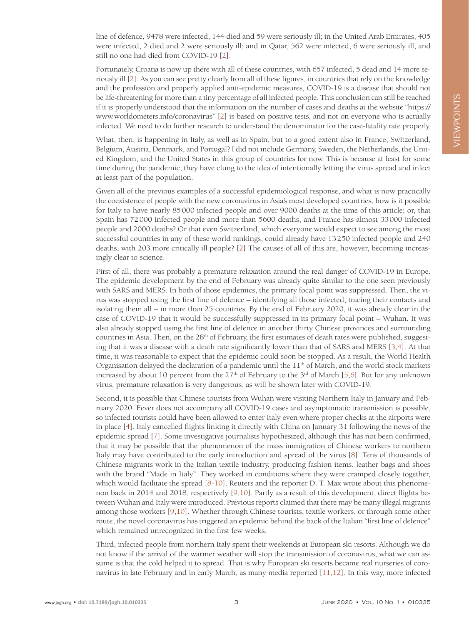line of defence, 9478 were infected, 144 died and 59 were seriously ill; in the United Arab Emirates, 405 were infected, 2 died and 2 were seriously ill; and in Qatar, 562 were infected, 6 were seriously ill, and still no one had died from COVID-19 [\[2](#page-8-1)].

Fortunately, Croatia is now up there with all of these countries, with 657 infected, 5 dead and 14 more seriously ill [[2](#page-8-1)]. As you can see pretty clearly from all of these figures, in countries that rely on the knowledge and the profession and properly applied anti-epidemic measures, COVID-19 is a disease that should not be life-threatening for more than a tiny percentage of all infected people. This conclusion can still be reached if it is properly understood that the information on the number of cases and deaths at the website "https:// www.worldometers.info/coronavirus" [[2\]](#page-8-1) is based on positive tests, and not on everyone who is actually infected. We need to do further research to understand the denominator for the case-fatality rate properly.

What, then, is happening in Italy, as well as in Spain, but to a good extent also in France, Switzerland, Belgium, Austria, Denmark, and Portugal? I did not include Germany, Sweden, the Netherlands, the United Kingdom, and the United States in this group of countries for now. This is because at least for some time during the pandemic, they have clung to the idea of intentionally letting the virus spread and infect at least part of the population.

Given all of the previous examples of a successful epidemiological response, and what is now practically the coexistence of people with the new coronavirus in Asia's most developed countries, how is it possible for Italy to have nearly 85000 infected people and over 9000 deaths at the time of this article; or, that Spain has 72000 infected people and more than 5600 deaths, and France has almost 33000 infected people and 2000 deaths? Or that even Switzerland, which everyone would expect to see among the most successful countries in any of these world rankings, could already have 13250 infected people and 240 deaths, with 203 more critically ill people? [[2](#page-8-1)] The causes of all of this are, however, becoming increasingly clear to science.

First of all, there was probably a premature relaxation around the real danger of COVID-19 in Europe. The epidemic development by the end of February was already quite similar to the one seen previously with SARS and MERS. In both of those epidemics, the primary focal point was suppressed. Then, the virus was stopped using the first line of defence – identifying all those infected, tracing their contacts and isolating them all – in more than 25 countries. By the end of February 2020, it was already clear in the case of COVID-19 that it would be successfully suppressed in its primary focal point – Wuhan. It was also already stopped using the first line of defence in another thirty Chinese provinces and surrounding countries in Asia. Then, on the  $28<sup>th</sup>$  of February, the first estimates of death rates were published, suggesting that it was a disease with a death rate significantly lower than that of SARS and MERS [[3](#page-8-2),[4](#page-8-3)]. At that time, it was reasonable to expect that the epidemic could soon be stopped. As a result, the World Health Organisation delayed the declaration of a pandemic until the  $11<sup>th</sup>$  of March, and the world stock markets increased by about 10 percent from the 27<sup>th</sup> of February to the 3<sup>rd</sup> of March [\[5](#page-8-4)[,6](#page-8-5)]. But for any unknown virus, premature relaxation is very dangerous, as will be shown later with COVID-19.

Second, it is possible that Chinese tourists from Wuhan were visiting Northern Italy in January and February 2020. Fever does not accompany all COVID-19 cases and asymptomatic transmission is possible, so infected tourists could have been allowed to enter Italy even where proper checks at the airports were in place [[4](#page-8-3)]. Italy cancelled flights linking it directly with China on January 31 following the news of the epidemic spread [[7](#page-8-6)]. Some investigative journalists hypothesized, although this has not been confirmed, that it may be possible that the phenomenon of the mass immigration of Chinese workers to northern Italy may have contributed to the early introduction and spread of the virus [\[8](#page-8-7)]. Tens of thousands of Chinese migrants work in the Italian textile industry, producing fashion items, leather bags and shoes with the brand "Made in Italy". They worked in conditions where they were cramped closely together, which would facilitate the spread [\[8-](#page-8-7)[10\]](#page-8-8). Reuters and the reporter D. T. Max wrote about this phenomenon back in 2014 and 2018, respectively [\[9](#page-8-9)[,10](#page-8-8)]. Partly as a result of this development, direct flights between Wuhan and Italy were introduced. Previous reports claimed that there may be many illegal migrants among those workers [\[9](#page-8-9)[,10\]](#page-8-8). Whether through Chinese tourists, textile workers, or through some other route, the novel coronavirus has triggered an epidemic behind the back of the Italian "first line of defence" which remained unrecognized in the first few weeks.

Third, infected people from northern Italy spent their weekends at European ski resorts. Although we do not know if the arrival of the warmer weather will stop the transmission of coronavirus, what we can assume is that the cold helped it to spread. That is why European ski resorts became real nurseries of coronavirus in late February and in early March, as many media reported [\[11](#page-9-0)[,12\]](#page-9-1). In this way, more infected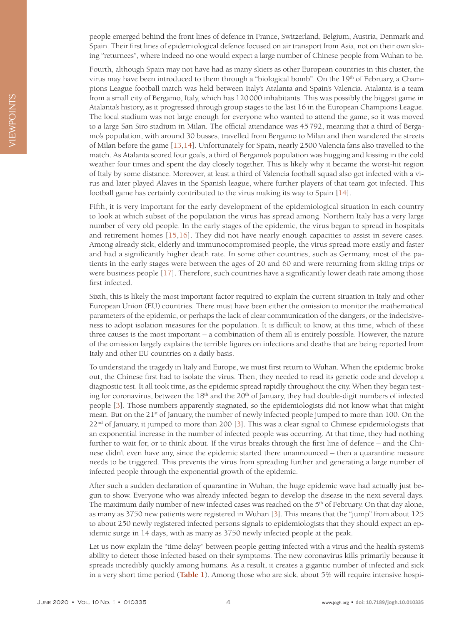people emerged behind the front lines of defence in France, Switzerland, Belgium, Austria, Denmark and Spain. Their first lines of epidemiological defence focused on air transport from Asia, not on their own skiing ''returnees", where indeed no one would expect a large number of Chinese people from Wuhan to be.

Fourth, although Spain may not have had as many skiers as other European countries in this cluster, the virus may have been introduced to them through a "biological bomb". On the 19th of February, a Champions League football match was held between Italy's Atalanta and Spain's Valencia. Atalanta is a team from a small city of Bergamo, Italy, which has 120000 inhabitants. This was possibly the biggest game in Atalanta's history, as it progressed through group stages to the last 16 in the European Champions League. The local stadium was not large enough for everyone who wanted to attend the game, so it was moved to a large San Siro stadium in Milan. The official attendance was 45792, meaning that a third of Bergamo's population, with around 30 busses, travelled from Bergamo to Milan and then wandered the streets of Milan before the game [\[13,](#page-9-2)[14\]](#page-9-3). Unfortunately for Spain, nearly 2500 Valencia fans also travelled to the match. As Atalanta scored four goals, a third of Bergamo's population was hugging and kissing in the cold weather four times and spent the day closely together. This is likely why it became the worst-hit region of Italy by some distance. Moreover, at least a third of Valencia football squad also got infected with a virus and later played Alaves in the Spanish league, where further players of that team got infected. This football game has certainly contributed to the virus making its way to Spain [[14](#page-9-3)].

Fifth, it is very important for the early development of the epidemiological situation in each country to look at which subset of the population the virus has spread among. Northern Italy has a very large number of very old people. In the early stages of the epidemic, the virus began to spread in hospitals and retirement homes [[15,](#page-9-4)[16](#page-9-5)]. They did not have nearly enough capacities to assist in severe cases. Among already sick, elderly and immunocompromised people, the virus spread more easily and faster and had a significantly higher death rate. In some other countries, such as Germany, most of the patients in the early stages were between the ages of 20 and 60 and were returning from skiing trips or were business people [\[17](#page-9-6)]. Therefore, such countries have a significantly lower death rate among those first infected.

Sixth, this is likely the most important factor required to explain the current situation in Italy and other European Union (EU) countries. There must have been either the omission to monitor the mathematical parameters of the epidemic, or perhaps the lack of clear communication of the dangers, or the indecisiveness to adopt isolation measures for the population. It is difficult to know, at this time, which of these three causes is the most important – a combination of them all is entirely possible. However, the nature of the omission largely explains the terrible figures on infections and deaths that are being reported from Italy and other EU countries on a daily basis.

To understand the tragedy in Italy and Europe, we must first return to Wuhan. When the epidemic broke out, the Chinese first had to isolate the virus. Then, they needed to read its genetic code and develop a diagnostic test. It all took time, as the epidemic spread rapidly throughout the city. When they began testing for coronavirus, between the 18<sup>th</sup> and the 20<sup>th</sup> of January, they had double-digit numbers of infected people [\[3\]](#page-8-2). Those numbers apparently stagnated, so the epidemiologists did not know what that might mean. But on the 21<sup>st</sup> of January, the number of newly infected people jumped to more than 100. On the 22<sup>nd</sup> of January, it jumped to more than 200 [[3\]](#page-8-2). This was a clear signal to Chinese epidemiologists that an exponential increase in the number of infected people was occurring. At that time, they had nothing further to wait for, or to think about. If the virus breaks through the first line of defence – and the Chinese didn't even have any, since the epidemic started there unannounced – then a quarantine measure needs to be triggered. This prevents the virus from spreading further and generating a large number of infected people through the exponential growth of the epidemic.

After such a sudden declaration of quarantine in Wuhan, the huge epidemic wave had actually just begun to show. Everyone who was already infected began to develop the disease in the next several days. The maximum daily number of new infected cases was reached on the 5th of February. On that day alone, as many as 3750 new patients were registered in Wuhan [\[3\]](#page-8-2). This means that the "jump" from about 125 to about 250 newly registered infected persons signals to epidemiologists that they should expect an epidemic surge in 14 days, with as many as 3750 newly infected people at the peak.

Let us now explain the "time delay" between people getting infected with a virus and the health system's ability to detect those infected based on their symptoms. The new coronavirus kills primarily because it spreads incredibly quickly among humans. As a result, it creates a gigantic number of infected and sick in a very short time period (**[Table 1](#page-4-0)**). Among those who are sick, about 5% will require intensive hospi-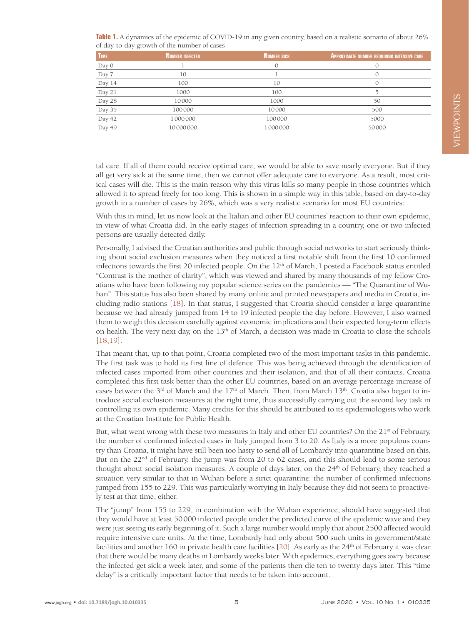<span id="page-4-0"></span>

| Table 1. A dynamics of the epidemic of COVID-19 in any given country, based on a realistic scenario of about 26% |  |  |
|------------------------------------------------------------------------------------------------------------------|--|--|
| of day-to-day growth of the number of cases                                                                      |  |  |

| <b>TIME</b>            | <b>NUMBER INFECTED</b> | NUMBER SICK | <b>APPROXIMATE NUMBER REQUIRING INTENSIVE CARE</b> |
|------------------------|------------------------|-------------|----------------------------------------------------|
| $\operatorname{Day} 0$ |                        |             |                                                    |
| Day 7                  | 10                     |             |                                                    |
| Day 14                 | 100                    | 10          |                                                    |
| Day 21                 | 1000                   | 100         |                                                    |
| Day 28                 | 10000                  | 1000        | 50                                                 |
| Day 35                 | 100000                 | 10000       | 500                                                |
| Day 42                 | 1000000                | 100000      | 5000                                               |
| Day 49                 | 10000000               | 1000000     | 50000                                              |

tal care. If all of them could receive optimal care, we would be able to save nearly everyone. But if they all get very sick at the same time, then we cannot offer adequate care to everyone. As a result, most critical cases will die. This is the main reason why this virus kills so many people in those countries which allowed it to spread freely for too long. This is shown in a simple way in this table, based on day-to-day growth in a number of cases by 26%, which was a very realistic scenario for most EU countries:

With this in mind, let us now look at the Italian and other EU countries' reaction to their own epidemic, in view of what Croatia did. In the early stages of infection spreading in a country, one or two infected persons are usually detected daily.

Personally, I advised the Croatian authorities and public through social networks to start seriously thinking about social exclusion measures when they noticed a first notable shift from the first 10 confirmed infections towards the first 20 infected people. On the  $12<sup>th</sup>$  of March, I posted a Facebook status entitled "Contrast is the mother of clarity", which was viewed and shared by many thousands of my fellow Croatians who have been following my popular science series on the pandemics — "The Quarantine of Wuhan". This status has also been shared by many online and printed newspapers and media in Croatia, including radio stations [\[18\]](#page-9-7). In that status, I suggested that Croatia should consider a large quarantine because we had already jumped from 14 to 19 infected people the day before. However, I also warned them to weigh this decision carefully against economic implications and their expected long-term effects on health. The very next day, on the 13<sup>th</sup> of March, a decision was made in Croatia to close the schools [\[18,](#page-9-7)[19](#page-9-8)].

That meant that, up to that point, Croatia completed two of the most important tasks in this pandemic. The first task was to hold its first line of defence. This was being achieved through the identification of infected cases imported from other countries and their isolation, and that of all their contacts. Croatia completed this first task better than the other EU countries, based on an average percentage increase of cases between the 3<sup>rd</sup> of March and the 17<sup>th</sup> of March. Then, from March 13<sup>th</sup>, Croatia also began to introduce social exclusion measures at the right time, thus successfully carrying out the second key task in controlling its own epidemic. Many credits for this should be attributed to its epidemiologists who work at the Croatian Institute for Public Health.

But, what went wrong with these two measures in Italy and other EU countries? On the 21<sup>st</sup> of February, the number of confirmed infected cases in Italy jumped from 3 to 20. As Italy is a more populous country than Croatia, it might have still been too hasty to send all of Lombardy into quarantine based on this. But on the  $22<sup>nd</sup>$  of February, the jump was from 20 to 62 cases, and this should lead to some serious thought about social isolation measures. A couple of days later, on the 24<sup>th</sup> of February, they reached a situation very similar to that in Wuhan before a strict quarantine: the number of confirmed infections jumped from 155 to 229. This was particularly worrying in Italy because they did not seem to proactively test at that time, either.

The "jump" from 155 to 229, in combination with the Wuhan experience, should have suggested that they would have at least 50000 infected people under the predicted curve of the epidemic wave and they were just seeing its early beginning of it. Such a large number would imply that about 2500 affected would require intensive care units. At the time, Lombardy had only about 500 such units in government/state facilities and another 160 in private health care facilities  $[20]$  $[20]$ . As early as the 24<sup>th</sup> of February it was clear that there would be many deaths in Lombardy weeks later. With epidemics, everything goes awry because the infected get sick a week later, and some of the patients then die ten to twenty days later. This "time delay" is a critically important factor that needs to be taken into account.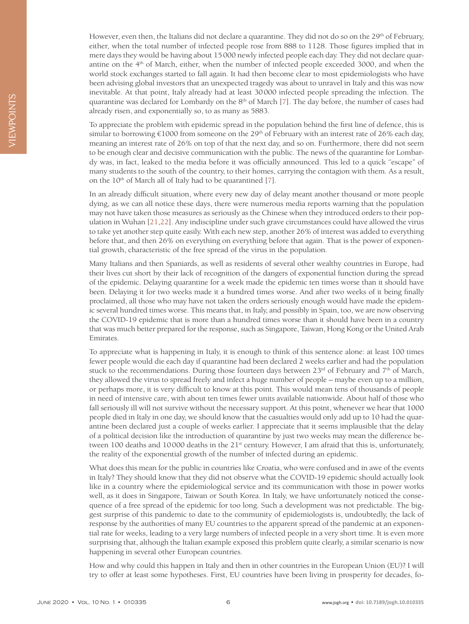However, even then, the Italians did not declare a quarantine. They did not do so on the 29<sup>th</sup> of February, either, when the total number of infected people rose from 888 to 1128. Those figures implied that in mere days they would be having about 15000 newly infected people each day. They did not declare quarantine on the 4th of March, either, when the number of infected people exceeded 3000, and when the world stock exchanges started to fall again. It had then become clear to most epidemiologists who have been advising global investors that an unexpected tragedy was about to unravel in Italy and this was now inevitable. At that point, Italy already had at least 30000 infected people spreading the infection. The quarantine was declared for Lombardy on the  $8<sup>th</sup>$  of March [\[7\]](#page-8-6). The day before, the number of cases had already risen, and exponentially so, to as many as 5883.

To appreciate the problem with epidemic spread in the population behind the first line of defence, this is similar to borrowing  $\epsilon$ 1000 from someone on the 29<sup>th</sup> of February with an interest rate of 26% each day, meaning an interest rate of 26% on top of that the next day, and so on. Furthermore, there did not seem to be enough clear and decisive communication with the public. The news of the quarantine for Lombardy was, in fact, leaked to the media before it was officially announced. This led to a quick ''escape" of many students to the south of the country, to their homes, carrying the contagion with them. As a result, on the  $10^{th}$  of March all of Italy had to be quarantined [\[7](#page-8-6)].

In an already difficult situation, where every new day of delay meant another thousand or more people dying, as we can all notice these days, there were numerous media reports warning that the population may not have taken those measures as seriously as the Chinese when they introduced orders to their population in Wuhan [\[21,](#page-9-10)[22](#page-9-11)]. Any indiscipline under such grave circumstances could have allowed the virus to take yet another step quite easily. With each new step, another 26% of interest was added to everything before that, and then 26% on everything on everything before that again. That is the power of exponential growth, characteristic of the free spread of the virus in the population.

Many Italians and then Spaniards, as well as residents of several other wealthy countries in Europe, had their lives cut short by their lack of recognition of the dangers of exponential function during the spread of the epidemic. Delaying quarantine for a week made the epidemic ten times worse than it should have been. Delaying it for two weeks made it a hundred times worse. And after two weeks of it being finally proclaimed, all those who may have not taken the orders seriously enough would have made the epidemic several hundred times worse. This means that, in Italy, and possibly in Spain, too, we are now observing the COVID-19 epidemic that is more than a hundred times worse than it should have been in a country that was much better prepared for the response, such as Singapore, Taiwan, Hong Kong or the United Arab Emirates.

To appreciate what is happening in Italy, it is enough to think of this sentence alone: at least 100 times fewer people would die each day if quarantine had been declared 2 weeks earlier and had the population stuck to the recommendations. During those fourteen days between  $23<sup>rd</sup>$  of February and  $7<sup>th</sup>$  of March, they allowed the virus to spread freely and infect a huge number of people – maybe even up to a million, or perhaps more, it is very difficult to know at this point. This would mean tens of thousands of people in need of intensive care, with about ten times fewer units available nationwide. About half of those who fall seriously ill will not survive without the necessary support. At this point, whenever we hear that 1000 people died in Italy in one day, we should know that the casualties would only add up to 10 had the quarantine been declared just a couple of weeks earlier. I appreciate that it seems implausible that the delay of a political decision like the introduction of quarantine by just two weeks may mean the difference between 100 deaths and 10000 deaths in the  $21<sup>st</sup>$  century. However, I am afraid that this is, unfortunately, the reality of the exponential growth of the number of infected during an epidemic.

What does this mean for the public in countries like Croatia, who were confused and in awe of the events in Italy? They should know that they did not observe what the COVID-19 epidemic should actually look like in a country where the epidemiological service and its communication with those in power works well, as it does in Singapore, Taiwan or South Korea. In Italy, we have unfortunately noticed the consequence of a free spread of the epidemic for too long. Such a development was not predictable. The biggest surprise of this pandemic to date to the community of epidemiologists is, undoubtedly, the lack of response by the authorities of many EU countries to the apparent spread of the pandemic at an exponential rate for weeks, leading to a very large numbers of infected people in a very short time. It is even more surprising that, although the Italian example exposed this problem quite clearly, a similar scenario is now happening in several other European countries.

How and why could this happen in Italy and then in other countries in the European Union (EU)? I will try to offer at least some hypotheses. First, EU countries have been living in prosperity for decades, fo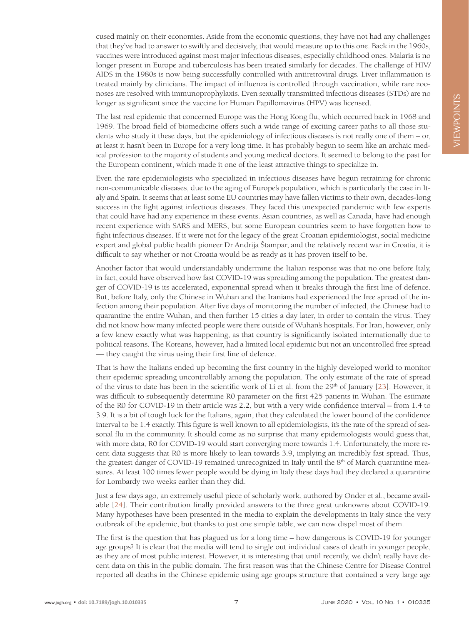cused mainly on their economies. Aside from the economic questions, they have not had any challenges that they've had to answer to swiftly and decisively, that would measure up to this one. Back in the 1960s, vaccines were introduced against most major infectious diseases, especially childhood ones. Malaria is no longer present in Europe and tuberculosis has been treated similarly for decades. The challenge of HIV/ AIDS in the 1980s is now being successfully controlled with antiretroviral drugs. Liver inflammation is treated mainly by clinicians. The impact of influenza is controlled through vaccination, while rare zoonoses are resolved with immunoprophylaxis. Even sexually transmitted infectious diseases (STDs) are no longer as significant since the vaccine for Human Papillomavirus (HPV) was licensed.

The last real epidemic that concerned Europe was the Hong Kong flu, which occurred back in 1968 and 1969. The broad field of biomedicine offers such a wide range of exciting career paths to all those students who study it these days, but the epidemiology of infectious diseases is not really one of them – or, at least it hasn't been in Europe for a very long time. It has probably begun to seem like an archaic medical profession to the majority of students and young medical doctors. It seemed to belong to the past for the European continent, which made it one of the least attractive things to specialize in.

Even the rare epidemiologists who specialized in infectious diseases have begun retraining for chronic non-communicable diseases, due to the aging of Europe's population, which is particularly the case in Italy and Spain. It seems that at least some EU countries may have fallen victims to their own, decades-long success in the fight against infectious diseases. They faced this unexpected pandemic with few experts that could have had any experience in these events. Asian countries, as well as Canada, have had enough recent experience with SARS and MERS, but some European countries seem to have forgotten how to fight infectious diseases. If it were not for the legacy of the great Croatian epidemiologist, social medicine expert and global public health pioneer Dr Andrija Štampar, and the relatively recent war in Croatia, it is difficult to say whether or not Croatia would be as ready as it has proven itself to be.

Another factor that would understandably undermine the Italian response was that no one before Italy, in fact, could have observed how fast COVID-19 was spreading among the population. The greatest danger of COVID-19 is its accelerated, exponential spread when it breaks through the first line of defence. But, before Italy, only the Chinese in Wuhan and the Iranians had experienced the free spread of the infection among their population. After five days of monitoring the number of infected, the Chinese had to quarantine the entire Wuhan, and then further 15 cities a day later, in order to contain the virus. They did not know how many infected people were there outside of Wuhan's hospitals. For Iran, however, only a few knew exactly what was happening, as that country is significantly isolated internationally due to political reasons. The Koreans, however, had a limited local epidemic but not an uncontrolled free spread — they caught the virus using their first line of defence.

That is how the Italians ended up becoming the first country in the highly developed world to monitor their epidemic spreading uncontrollably among the population. The only estimate of the rate of spread of the virus to date has been in the scientific work of Li et al. from the  $29<sup>th</sup>$  of January [\[23\]](#page-9-12). However, it was difficult to subsequently determine R0 parameter on the first 425 patients in Wuhan. The estimate of the R0 for COVID-19 in their article was 2.2, but with a very wide confidence interval – from 1.4 to 3.9. It is a bit of tough luck for the Italians, again, that they calculated the lower bound of the confidence interval to be 1.4 exactly. This figure is well known to all epidemiologists, it's the rate of the spread of seasonal flu in the community. It should come as no surprise that many epidemiologists would guess that, with more data, R0 for COVID-19 would start converging more towards 1.4. Unfortunately, the more recent data suggests that R0 is more likely to lean towards 3.9, implying an incredibly fast spread. Thus, the greatest danger of COVID-19 remained unrecognized in Italy until the 8<sup>th</sup> of March quarantine measures. At least 100 times fewer people would be dying in Italy these days had they declared a quarantine for Lombardy two weeks earlier than they did.

Just a few days ago, an extremely useful piece of scholarly work, authored by Onder et al., became available [\[24](#page-9-13)]. Their contribution finally provided answers to the three great unknowns about COVID-19. Many hypotheses have been presented in the media to explain the developments in Italy since the very outbreak of the epidemic, but thanks to just one simple table, we can now dispel most of them.

The first is the question that has plagued us for a long time – how dangerous is COVID-19 for younger age groups? It is clear that the media will tend to single out individual cases of death in younger people, as they are of most public interest. However, it is interesting that until recently, we didn't really have decent data on this in the public domain. The first reason was that the Chinese Centre for Disease Control reported all deaths in the Chinese epidemic using age groups structure that contained a very large age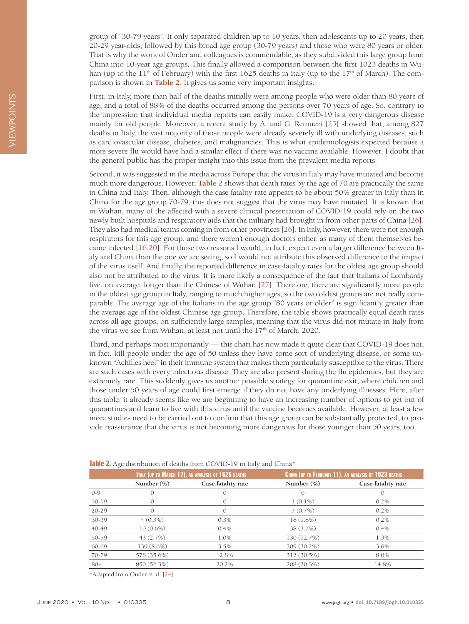group of "30-79 years". It only separated children up to 10 years, then adolescents up to 20 years, then 20-29 year-olds, followed by this broad age group (30-79 years) and those who were 80 years or older. That is why the work of Onder and colleagues is commendable, as they subdivided this large group from China into 10-year age groups. This finally allowed a comparison between the first 1023 deaths in Wuhan (up to the  $11<sup>th</sup>$  of February) with the first 1625 deaths in Italy (up to the  $17<sup>th</sup>$  of March). The comparison is shown in **[Table 2](#page-7-0)**. It gives us some very important insights.

First, in Italy, more than half of the deaths initially were among people who were older than 80 years of age, and a total of 88% of the deaths occurred among the persons over 70 years of age. So, contrary to the impression that individual media reports can easily make, COVID-19 is a very dangerous disease mainly for old people. Moreover, a recent study by A. and G. Remuzzi [[25](#page-9-14)] showed that, among 827 deaths in Italy, the vast majority of those people were already severely ill with underlying diseases, such as cardiovascular disease, diabetes, and malignancies. This is what epidemiologists expected because a more severe flu would have had a similar effect if there was no vaccine available. However, I doubt that the general public has the proper insight into this issue from the prevalent media reports.

Second, it was suggested in the media across Europe that the virus in Italy may have mutated and become much more dangerous. However, **[Table 2](#page-7-0)** shows that death rates by the age of 70 are practically the same in China and Italy. Then, although the case fatality rate appears to be about 50% greater in Italy than in China for the age group 70-79, this does not suggest that the virus may have mutated. It is known that in Wuhan, many of the affected with a severe clinical presentation of COVID-19 could rely on the two newly built hospitals and respiratory aids that the military had brought in from other parts of China [[26](#page-9-15)]. They also had medical teams coming in from other provinces [[26](#page-9-15)]. In Italy, however, there were not enough respirators for this age group, and there weren't enough doctors either, as many of them themselves became infected [[16](#page-9-5)[,20\]](#page-9-9). For those two reasons I would, in fact, expect even a larger difference between Italy and China than the one we are seeing, so I would not attribute this observed difference to the impact of the virus itself. And finally, the reported difference in case-fatality rates for the oldest age group should also not be attributed to the virus. It is more likely a consequence of the fact that Italians of Lombardy live, on average, longer than the Chinese of Wuhan [\[27](#page-9-16)]. Therefore, there are significantly more people in the oldest age group in Italy, ranging to much higher ages, so the two oldest groups are not really comparable. The average age of the Italians in the age group "80 years or older" is significantly greater than the average age of the oldest Chinese age group. Therefore, the table shows practically equal death rates across all age groups, on sufficiently large samples, meaning that the virus did not mutate in Italy from the virus we see from Wuhan, at least not until the  $17<sup>th</sup>$  of March, 2020.

Third, and perhaps most importantly — this chart has now made it quite clear that COVID-19 does not, in fact, kill people under the age of 50 unless they have some sort of underlying disease, or some unknown "Achilles heel" in their immune system that makes them particularly susceptible to the virus. There are such cases with every infectious disease. They are also present during the flu epidemics, but they are extremely rare. This suddenly gives us another possible strategy for quarantine exit, where children and those under 50 years of age could first emerge if they do not have any underlying illnesses. Here, after this table, it already seems like we are beginning to have an increasing number of options to get out of quarantines and learn to live with this virus until the vaccine becomes available. However, at least a few more studies need to be carried out to confirm that this age group can be substantially protected, to provide reassurance that the virus is not becoming more dangerous for those younger than 50 years, too.

|           | ITALY (UP TO MARCH 17), AN ANALYSIS OF 1625 DEATHS |                    | CHINA (UP TO FEBRUARY 11), AN ANALYSIS OF 1023 DEATHS |                    |
|-----------|----------------------------------------------------|--------------------|-------------------------------------------------------|--------------------|
|           | Number $(\%)$                                      | Case-fatality rate | Number $(\%)$                                         | Case-fatality rate |
| $O-9$     | O                                                  | $\Omega$           | $\Omega$                                              | $\mathcal{O}$      |
| $10-19$   | 0                                                  | 0                  | $1(0.1\%)$                                            | 0.2%               |
| $20 - 29$ | $\Omega$                                           | $\Omega$           | 7(0.7%)                                               | 0.2%               |
| 30-39     | $4(0.3\%)$                                         | 0.3%               | $18(1.8\%)$                                           | $0.2\%$            |
| 40-49     | $10(0.6\%)$                                        | 0.4%               | 38 (3.7%)                                             | 0.4%               |
| 50-59     | 43 (2.7%)                                          | 1.0%               | 130 (12.7%)                                           | 1.3%               |
| 60-69     | 139 (8.6%)                                         | 3.5%               | 309 (30.2%)                                           | 3.6%               |
| 70-79     | 578 (35.6%)                                        | 12.8%              | 312 (30.5%)                                           | 8.0%               |
| $80+$     | 850 (52.3%)                                        | 20.2%              | 208 (20.3%)                                           | 14.8%              |

<span id="page-7-0"></span>**Table 2.** Age distribution of deaths from COVID-19 in Italy and China\*

\*Adapted from Onder et al. [\[24\]](#page-9-13).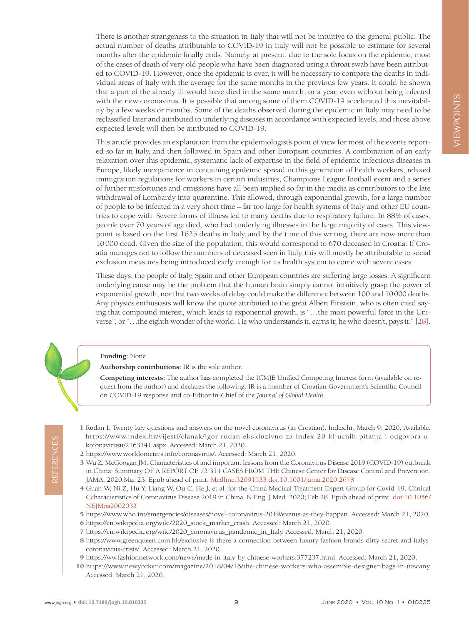There is another strangeness to the situation in Italy that will not be intuitive to the general public. The actual number of deaths attributable to COVID-19 in Italy will not be possible to estimate for several months after the epidemic finally ends. Namely, at present, due to the sole focus on the epidemic, most of the cases of death of very old people who have been diagnosed using a throat swab have been attributed to COVID-19. However, once the epidemic is over, it will be necessary to compare the deaths in individual areas of Italy with the average for the same months in the previous few years. It could be shown that a part of the already ill would have died in the same month, or a year, even without being infected with the new coronavirus. It is possible that among some of them COVID-19 accelerated this inevitability by a few weeks or months. Some of the deaths observed during the epidemic in Italy may need to be reclassified later and attributed to underlying diseases in accordance with expected levels, and those above expected levels will then be attributed to COVID-19.

This article provides an explanation from the epidemiologist's point of view for most of the events reported so far in Italy, and then followed in Spain and other European countries. A combination of an early relaxation over this epidemic, systematic lack of expertise in the field of epidemic infectious diseases in Europe, likely inexperience in containing epidemic spread in this generation of health workers, relaxed immigration regulations for workers in certain industries, Champions League football event and a series of further misfortunes and omissions have all been implied so far in the media as contributors to the late withdrawal of Lombardy into quarantine. This allowed, through exponential growth, for a large number of people to be infected in a very short time – far too large for health systems of Italy and other EU countries to cope with. Severe forms of illness led to many deaths due to respiratory failure. In 88% of cases, people over 70 years of age died, who had underlying illnesses in the large majority of cases. This viewpoint is based on the first 1625 deaths in Italy, and by the time of this writing, there are now more than 10000 dead. Given the size of the population, this would correspond to 670 deceased in Croatia. If Croatia manages not to follow the numbers of deceased seen in Italy, this will mostly be attributable to social exclusion measures being introduced early enough for its health system to come with severe cases.

These days, the people of Italy, Spain and other European countries are suffering large losses. A significant underlying cause may be the problem that the human brain simply cannot intuitively grasp the power of exponential growth, nor that two weeks of delay could make the difference between 100 and 10000 deaths. Any physics enthusiasts will know the quote attributed to the great Albert Einstein, who is often cited saying that compound interest, which leads to exponential growth, is "…the most powerful force in the Universe", or "…the eighth wonder of the world. He who understands it, earns it; he who doesn't, pays it." [[28](#page-9-17)].

**Funding:** None.

**Authorship contributions:** IR is the sole author.

**Competing interests:** The author has completed the ICMJE Unified Competing Interest form (available on request from the author) and declares the following: IR is a member of Croatian Government's Scientific Council on COVID-19 response and co-Editor-in-Chief of the *Journal of Global Health*.

- <span id="page-8-0"></span> 1 Rudan I. Twenty key questions and answers on the novel coronavirus (in Croatian). Index.hr; March 9, 2020; Available: [https://www.index.hr/vijesti/clanak/igor-rudan-ekskluzivno-za-index-20-kljucnih-pitanja-i-odgovora-o](https://www.index.hr/vijesti/clanak/igor-rudan-ekskluzivno-za-index-20-kljucnih-pitanja-i-odgovora-o-koronavirusu/2163141.aspx)[koronavirusu/2163141.aspx](https://www.index.hr/vijesti/clanak/igor-rudan-ekskluzivno-za-index-20-kljucnih-pitanja-i-odgovora-o-koronavirusu/2163141.aspx). Accessed: March 21, 2020.
- <span id="page-8-1"></span>2 https://www.worldometers.info/coronavirus/. Accessed: March 21, 2020.
- <span id="page-8-2"></span> 3 Wu Z, McGoogan JM. Characteristics of and important lessons from the Coronavirus Disease 2019 (COVID-19) outbreak in China: Summary OF A REPORT OF 72 314 CASES FROM THE Chinese Center for Disease Control and Prevention. JAMA. 2020;Mar 23. Epub ahead of print[. Medline:32091533](https://www.ncbi.nlm.nih.gov/entrez/query.fcgi?cmd=Retrieve&db=PubMed&list_uids=32091533&dopt=Abstract) [doi:10.1001/jama.2020.2648](https://doi.org/10.1001/jama.2020.2648)
- <span id="page-8-3"></span> 4 Guan W, Ni Z, Hu Y, Liang W, Ou C, He J, et al. for the China Medical Treatment Expert Group for Covid-19. Clinical Ccharacteristics of Coronavirus Disease 2019 in China. N Engl J Med. 2020; Feb 28. Epub ahead of print. [doi:10.1056/](https://doi.org/10.1056/NEJMoa2002032) [NEJMoa2002032](https://doi.org/10.1056/NEJMoa2002032)
- <span id="page-8-4"></span>5 https://www.who.int/emergencies/diseases/novel-coronavirus-2019/events-as-they-happen. Accessed: March 21, 2020.
- <span id="page-8-5"></span>6 https://en.wikipedia.org/wiki/2020\_stock\_market\_crash. Accessed: March 21, 2020.
- <span id="page-8-6"></span>7 https://en.wikipedia.org/wiki/2020\_coronavirus\_pandemic\_in\_Italy. Accessed: March 21, 2020.
- <span id="page-8-7"></span> 8 https://www.greenqueen.com.hk/exclusive-is-there-a-connection-between-luxury-fashion-brands-dirty-secret-and-italyscoronavirus-crisis/. Accessed: March 21, 2020.
- <span id="page-8-9"></span>9 [https://ww.fashionnetwork.com/news/made-in-italy-by-chinese-workers,377237.html.](https://ww.fashionnetwork.com/news/made-in-italy-by-chinese-workers,377237.html) Accessed: March 21, 2020.
- <span id="page-8-8"></span>10 https://www.newyorker.com/magazine/2018/04/16/the-chinese-workers-who-assemble-designer-bags-in-tuscany. Accessed: March 21, 2020.